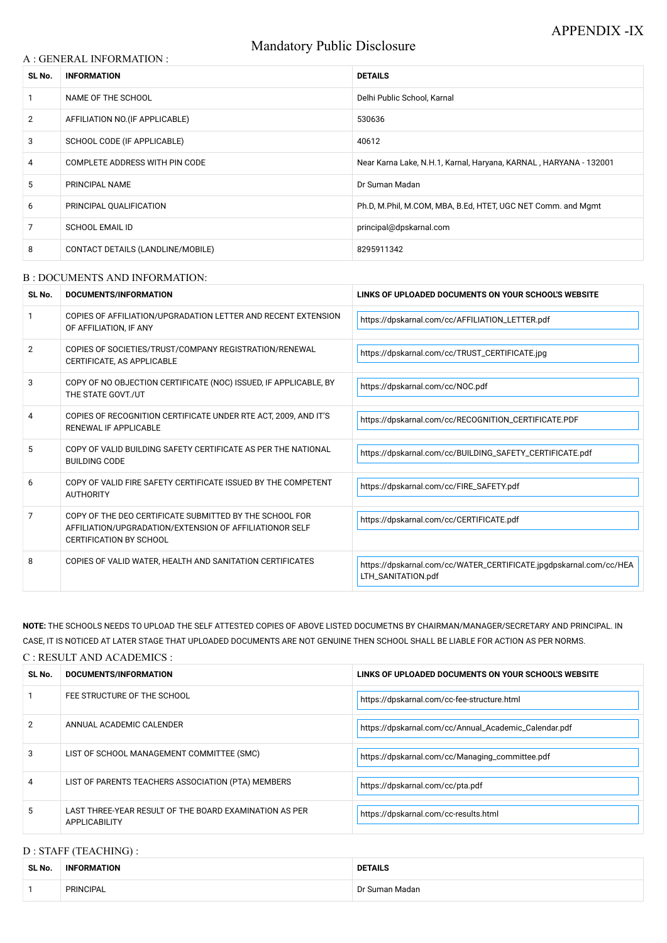# Mandatory Public Disclosure

## A : GENERAL INFORMATION :

| SL No.         | <b>INFORMATION</b>                | <b>DETAILS</b>                                                    |  |
|----------------|-----------------------------------|-------------------------------------------------------------------|--|
|                | NAME OF THE SCHOOL                | Delhi Public School, Karnal                                       |  |
| $\overline{2}$ | AFFILIATION NO. (IF APPLICABLE)   | 530636                                                            |  |
| 3              | SCHOOL CODE (IF APPLICABLE)       | 40612                                                             |  |
| 4              | COMPLETE ADDRESS WITH PIN CODE    | Near Karna Lake, N.H.1, Karnal, Haryana, KARNAL, HARYANA - 132001 |  |
| 5              | PRINCIPAL NAME                    | Dr Suman Madan                                                    |  |
| 6              | PRINCIPAL QUALIFICATION           | Ph.D, M.Phil, M.COM, MBA, B.Ed, HTET, UGC NET Comm. and Mgmt      |  |
| 7              | <b>SCHOOL EMAIL ID</b>            | principal@dpskarnal.com                                           |  |
| 8              | CONTACT DETAILS (LANDLINE/MOBILE) | 8295911342                                                        |  |

#### B : DOCUMENTS AND INFORMATION:

| SL No.         | DOCUMENTS/INFORMATION                                                                                                                                | LINKS OF UPLOADED DOCUMENTS ON YOUR SCHOOL'S WEBSITE                                     |
|----------------|------------------------------------------------------------------------------------------------------------------------------------------------------|------------------------------------------------------------------------------------------|
|                | COPIES OF AFFILIATION/UPGRADATION LETTER AND RECENT EXTENSION<br>OF AFFILIATION, IF ANY                                                              | https://dpskarnal.com/cc/AFFILIATION_LETTER.pdf                                          |
| $\overline{2}$ | COPIES OF SOCIETIES/TRUST/COMPANY REGISTRATION/RENEWAL<br>CERTIFICATE, AS APPLICABLE                                                                 | https://dpskarnal.com/cc/TRUST_CERTIFICATE.jpg                                           |
| 3              | COPY OF NO OBJECTION CERTIFICATE (NOC) ISSUED, IF APPLICABLE, BY<br>THE STATE GOVT./UT                                                               | https://dpskarnal.com/cc/NOC.pdf                                                         |
| 4              | COPIES OF RECOGNITION CERTIFICATE UNDER RTE ACT, 2009, AND IT'S<br><b>RENEWAL IF APPLICABLE</b>                                                      | https://dpskarnal.com/cc/RECOGNITION_CERTIFICATE.PDF                                     |
| 5              | COPY OF VALID BUILDING SAFETY CERTIFICATE AS PER THE NATIONAL<br><b>BUILDING CODE</b>                                                                | https://dpskarnal.com/cc/BUILDING_SAFETY_CERTIFICATE.pdf                                 |
| 6              | COPY OF VALID FIRE SAFETY CERTIFICATE ISSUED BY THE COMPETENT<br><b>AUTHORITY</b>                                                                    | https://dpskarnal.com/cc/FIRE_SAFETY.pdf                                                 |
| 7              | COPY OF THE DEO CERTIFICATE SUBMITTED BY THE SCHOOL FOR<br>AFFILIATION/UPGRADATION/EXTENSION OF AFFILIATIONOR SELF<br><b>CERTIFICATION BY SCHOOL</b> | https://dpskarnal.com/cc/CERTIFICATE.pdf                                                 |
| 8              | COPIES OF VALID WATER, HEALTH AND SANITATION CERTIFICATES                                                                                            | https://dpskarnal.com/cc/WATER_CERTIFICATE.jpgdpskarnal.com/cc/HEA<br>LTH_SANITATION.pdf |

| 2              | ANNUAL ACADEMIC CALENDER                                                | https://dpskarnal.com/cc/Annual_Academic_Calendar.pdf |
|----------------|-------------------------------------------------------------------------|-------------------------------------------------------|
| 3              | LIST OF SCHOOL MANAGEMENT COMMITTEE (SMC)                               | https://dpskarnal.com/cc/Managing_committee.pdf       |
| $\overline{4}$ | LIST OF PARENTS TEACHERS ASSOCIATION (PTA) MEMBERS                      | https://dpskarnal.com/cc/pta.pdf                      |
| 5              | LAST THREE-YEAR RESULT OF THE BOARD EXAMINATION AS PER<br>APPLICABILITY | https://dpskarnal.com/cc-results.html                 |

## **NOTE:** THE SCHOOLS NEEDS TO UPLOAD THE SELF ATTESTED COPIES OF ABOVE LISTED DOCUMETNS BY CHAIRMAN/MANAGER/SECRETARY AND PRINCIPAL. IN CASE, IT IS NOTICED AT LATER STAGE THAT UPLOADED DOCUMENTS ARE NOT GENUINE THEN SCHOOL SHALL BE LIABLE FOR ACTION AS PER NORMS.

#### C : RESULT AND ACADEMICS :

| SL No. | DOCUMENTS/INFORMATION       | LINKS OF UPLOADED DOCUMENTS ON YOUR SCHOOL'S WEBSITE |
|--------|-----------------------------|------------------------------------------------------|
|        | FEE STRUCTURE OF THE SCHOOL | https://dpskarnal.com/cc-fee-structure.html          |

## D : STAFF (TEACHING) :

| SL No. | <b>INFORMATION</b> | <b>DETAILS</b> |
|--------|--------------------|----------------|
|        | PRINCIPAL          | Dr Suman Madan |